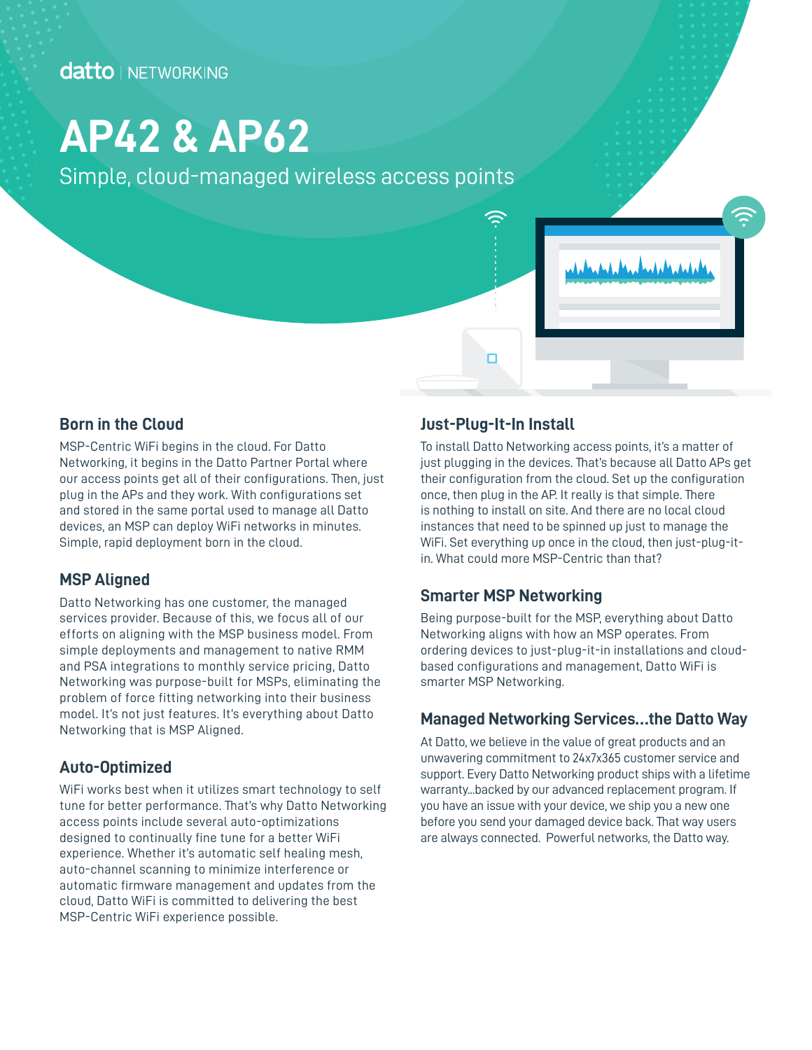## **datto** NETWORKING

# **AP42 & AP62**

Simple, cloud-managed wireless access points



#### **Born in the Cloud**

MSP-Centric WiFi begins in the cloud. For Datto Networking, it begins in the Datto Partner Portal where our access points get all of their configurations. Then, just plug in the APs and they work. With configurations set and stored in the same portal used to manage all Datto devices, an MSP can deploy WiFi networks in minutes. Simple, rapid deployment born in the cloud.

## **MSP Aligned**

Datto Networking has one customer, the managed services provider. Because of this, we focus all of our efforts on aligning with the MSP business model. From simple deployments and management to native RMM and PSA integrations to monthly service pricing, Datto Networking was purpose-built for MSPs, eliminating the problem of force fitting networking into their business model. It's not just features. It's everything about Datto Networking that is MSP Aligned.

## **Auto-Optimized**

WiFi works best when it utilizes smart technology to self tune for better performance. That's why Datto Networking access points include several auto-optimizations designed to continually fine tune for a better WiFi experience. Whether it's automatic self healing mesh, auto-channel scanning to minimize interference or automatic firmware management and updates from the cloud, Datto WiFi is committed to delivering the best MSP-Centric WiFi experience possible.

#### **Just-Plug-It-In Install**

n

To install Datto Networking access points, it's a matter of just plugging in the devices. That's because all Datto APs get their configuration from the cloud. Set up the configuration once, then plug in the AP. It really is that simple. There is nothing to install on site. And there are no local cloud instances that need to be spinned up just to manage the WiFi. Set everything up once in the cloud, then just-plug-itin. What could more MSP-Centric than that?

## **Smarter MSP Networking**

Being purpose-built for the MSP, everything about Datto Networking aligns with how an MSP operates. From ordering devices to just-plug-it-in installations and cloudbased configurations and management, Datto WiFi is smarter MSP Networking.

## **Managed Networking Services…the Datto Way**

At Datto, we believe in the value of great products and an unwavering commitment to 24x7x365 customer service and support. Every Datto Networking product ships with a lifetime warranty...backed by our advanced replacement program. If you have an issue with your device, we ship you a new one before you send your damaged device back. That way users are always connected. Powerful networks, the Datto way.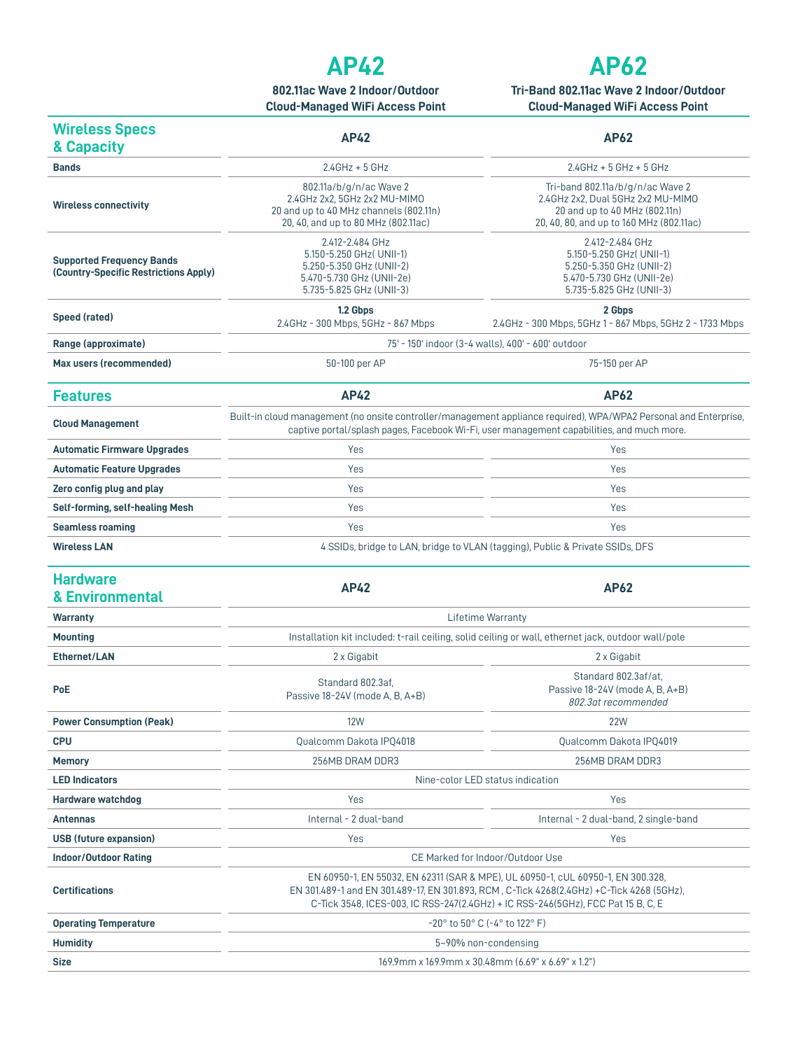## **AP42**

**802.11ac Wave 2 Indoor/Outdoor Cloud-Managed WiFi Access Point**



**Tri-Band 802.11ac Wave 2 Indoor/Outdoor Cloud-Managed WiFi Access Point**

| <b>Wireless Specs</b><br>& Capacity                                       | <b>AP42</b>                                                                                                                                                                                                                                                       | <b>AP62</b>                                                                                                                                        |
|---------------------------------------------------------------------------|-------------------------------------------------------------------------------------------------------------------------------------------------------------------------------------------------------------------------------------------------------------------|----------------------------------------------------------------------------------------------------------------------------------------------------|
| <b>Bands</b>                                                              | $2.4$ GHz + 5 GHz                                                                                                                                                                                                                                                 | $2.4$ GHz + 5 GHz + 5 GHz                                                                                                                          |
| <b>Wireless connectivity</b>                                              | 802.11a/b/g/n/ac Wave 2<br>2.4GHz 2x2, 5GHz 2x2 MU-MIMO<br>20 and up to 40 MHz channels (802.11n)<br>20, 40, and up to 80 MHz (802.11ac)                                                                                                                          | Tri-band 802.11a/b/g/n/ac Wave 2<br>2.4GHz 2x2, Dual 5GHz 2x2 MU-MIMO<br>20 and up to 40 MHz (802.11n)<br>20, 40, 80, and up to 160 MHz (802.11ac) |
| <b>Supported Frequency Bands</b><br>(Country-Specific Restrictions Apply) | 2.412-2.484 GHz<br>5.150-5.250 GHz (UNII-1)<br>5.250-5.350 GHz (UNII-2)<br>5.470-5.730 GHz (UNII-2e)<br>5.735-5.825 GHz (UNII-3)                                                                                                                                  | 2.412-2.484 GHz<br>5.150-5.250 GHz (UNII-1)<br>5.250-5.350 GHz (UNII-2)<br>5.470-5.730 GHz (UNII-2e)<br>5.735-5.825 GHz (UNII-3)                   |
| Speed (rated)                                                             | 1.2 Gbps<br>2.4GHz - 300 Mbps, 5GHz - 867 Mbps                                                                                                                                                                                                                    | 2 Gbps<br>2.4GHz - 300 Mbps, 5GHz 1 - 867 Mbps, 5GHz 2 - 1733 Mbps                                                                                 |
| Range (approximate)                                                       | 75' - 150' indoor (3-4 walls), 400' - 600' outdoor                                                                                                                                                                                                                |                                                                                                                                                    |
| Max users (recommended)                                                   | 50-100 per AP                                                                                                                                                                                                                                                     | 75-150 per AP                                                                                                                                      |
| <b>Features</b>                                                           | <b>AP42</b>                                                                                                                                                                                                                                                       | AP62                                                                                                                                               |
| <b>Cloud Management</b>                                                   | Built-in cloud management (no onsite controller/management appliance required), WPA/WPA2 Personal and Enterprise,<br>captive portal/splash pages, Facebook Wi-Fi, user management capabilities, and much more.                                                    |                                                                                                                                                    |
| <b>Automatic Firmware Upgrades</b>                                        | Yes                                                                                                                                                                                                                                                               | Yes                                                                                                                                                |
| <b>Automatic Feature Upgrades</b>                                         | Yes                                                                                                                                                                                                                                                               | Yes                                                                                                                                                |
| Zero config plug and play                                                 | Yes                                                                                                                                                                                                                                                               | Yes                                                                                                                                                |
| Self-forming, self-healing Mesh                                           | Yes                                                                                                                                                                                                                                                               | Yes                                                                                                                                                |
| <b>Seamless roaming</b>                                                   | Yes                                                                                                                                                                                                                                                               | Yes                                                                                                                                                |
| <b>Wireless LAN</b>                                                       | 4 SSIDs, bridge to LAN, bridge to VLAN (tagging), Public & Private SSIDs, DFS                                                                                                                                                                                     |                                                                                                                                                    |
| <b>Hardware</b><br>& Environmental                                        | <b>AP42</b>                                                                                                                                                                                                                                                       | <b>AP62</b>                                                                                                                                        |
| <b>Warranty</b>                                                           | Lifetime Warranty                                                                                                                                                                                                                                                 |                                                                                                                                                    |
| <b>Mounting</b>                                                           | Installation kit included: t-rail ceiling, solid ceiling or wall, ethernet jack, outdoor wall/pole                                                                                                                                                                |                                                                                                                                                    |
| <b>Ethernet/LAN</b>                                                       | 2 x Gigabit                                                                                                                                                                                                                                                       | 2 x Gigabit                                                                                                                                        |
| <b>PoE</b>                                                                | Standard 802.3af.<br>Passive 18-24V (mode A, B, A+B)                                                                                                                                                                                                              | Standard 802.3af/at.<br>Passive 18-24V (mode A, B, A+B)<br>802.3at recommended                                                                     |
| <b>Power Consumption (Peak)</b>                                           | <b>12W</b>                                                                                                                                                                                                                                                        | 22W                                                                                                                                                |
| <b>CPU</b>                                                                | Qualcomm Dakota IPQ4018                                                                                                                                                                                                                                           | Qualcomm Dakota IPQ4019                                                                                                                            |
| <b>Memory</b>                                                             | 256MB DRAM DDR3                                                                                                                                                                                                                                                   | 256MB DRAM DDR3                                                                                                                                    |
| <b>LED Indicators</b>                                                     | Nine-color LED status indication                                                                                                                                                                                                                                  |                                                                                                                                                    |
| Hardware watchdog                                                         | Yes                                                                                                                                                                                                                                                               | Yes                                                                                                                                                |
| <b>Antennas</b>                                                           | Internal - 2 dual-band                                                                                                                                                                                                                                            | Internal - 2 dual-band, 2 single-band                                                                                                              |
| USB (future expansion)                                                    | Yes                                                                                                                                                                                                                                                               | Yes                                                                                                                                                |
| <b>Indoor/Outdoor Rating</b>                                              | CE Marked for Indoor/Outdoor Use                                                                                                                                                                                                                                  |                                                                                                                                                    |
| <b>Certifications</b>                                                     | EN 60950-1, EN 55032, EN 62311 (SAR & MPE), UL 60950-1, cUL 60950-1, EN 300.328,<br>EN 301.489-1 and EN 301.489-17, EN 301.893, RCM, C-Tick 4268(2.4GHz) +C-Tick 4268 (5GHz),<br>C-Tick 3548, ICES-003, IC RSS-247(2.4GHz) + IC RSS-246(5GHz), FCC Pat 15 B, C, E |                                                                                                                                                    |
| <b>Operating Temperature</b>                                              | $-20^{\circ}$ to 50° C (-4° to 122° F)                                                                                                                                                                                                                            |                                                                                                                                                    |
| <b>Humidity</b>                                                           | 5~90% non-condensing                                                                                                                                                                                                                                              |                                                                                                                                                    |
| <b>Size</b>                                                               | 169.9mm x 169.9mm x 30.48mm (6.69" x 6.69" x 1.2")                                                                                                                                                                                                                |                                                                                                                                                    |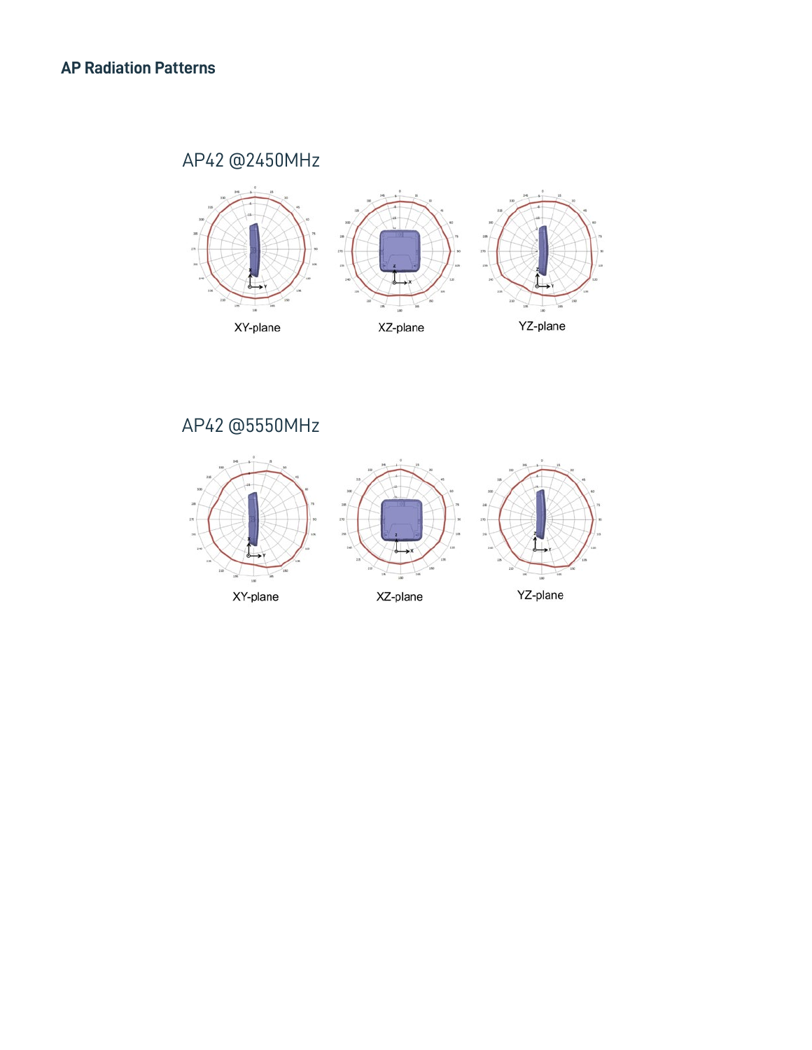## AP42 @2450MHz AP42 @2450MHz



## AP42 @5550MHz AP42 @5550MHz